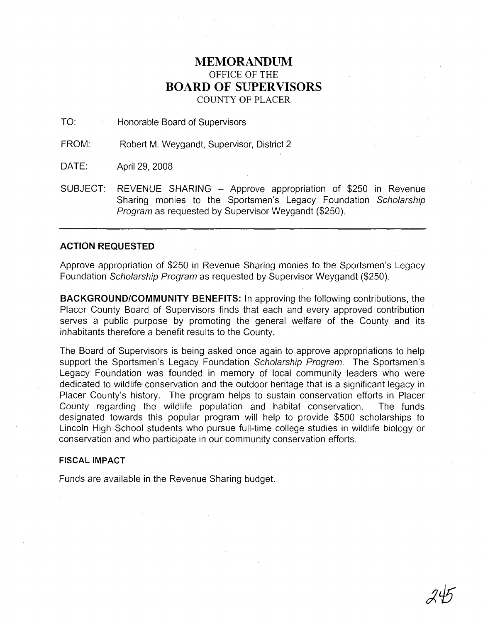# **MEMORANDUM** OFFICE OF THE **BOARD OF SUPERVISORS** COUNTY OF PLACER

TO: Honorable Board of Supervisors

FROM: Robert M. Weygandt, Supervisor, District 2

DATE: April 29, 2008

SUBJECT: REVENUE SHARING - Approve appropriation of \$250 in Revenue Sharing monies to the Sportsmen's Legacy Foundation Scholarship Program as requested by Supervisor Weygandt (\$250).

### **ACTION REQUESTED**

Approve appropriation of \$250 in Revenue Sharing monies to the Sportsmen's Legacy Foundation Scholarship Program as requested by Supervisor Weygandt (\$250).

**BACKGROUND/COMMUNITY BENEFITS:** In approving the following contributions, the Placer County Board of Supervisors finds that each and every approved contribution serves a public purpose by promoting the general welfare of the County and its inhabitants therefore a benefit results to the County.

The Board of Supervisors is being asked once again to approve appropriations to help support the Sportsmen's Legacy Foundation Scholarship Program. The Sportsmen's Legacy Foundation was founded in memory of local community leaders who were dedicated to wildlife conservation and the outdoor heritage that is a significant legacy in Placer County's history. The program helps to sustain conservation efforts in Placer County regarding the wildlife population and habitat conservation. The funds designated towards this popular program will help to provide \$500 scholarships to Lincoln High School students who pursue full-time college studies in wildlife biology or conservation and who participate in our community conservation efforts.

### **FISCAL IMPACT**

Funds are available in the Revenue Sharing budget.